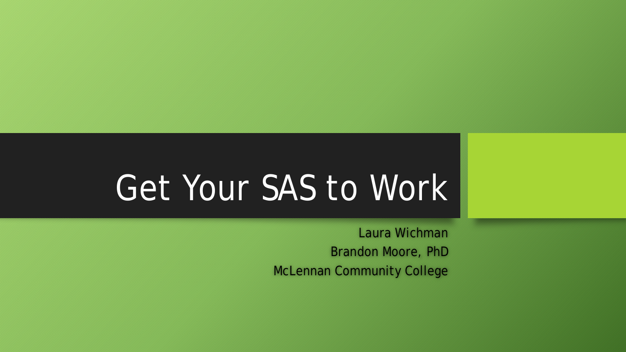# Get Your SAS to Work

Laura Wichman Brandon Moore, PhD McLennan Community College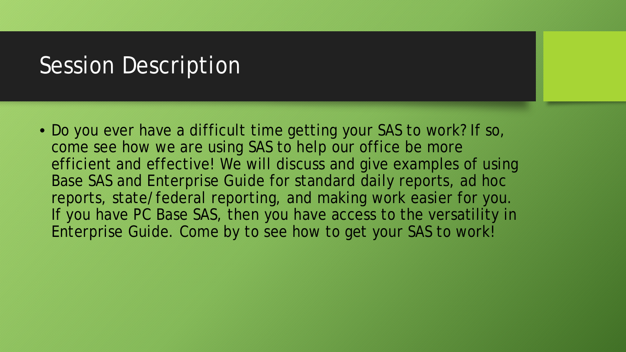## Session Description

• Do you ever have a difficult time getting your SAS to work? If so, come see how we are using SAS to help our office be more efficient and effective! We will discuss and give examples of using Base SAS and Enterprise Guide for standard daily reports, ad hoc reports, state/federal reporting, and making work easier for you. If you have PC Base SAS, then you have access to the versatility in Enterprise Guide. Come by to see how to get your SAS to work!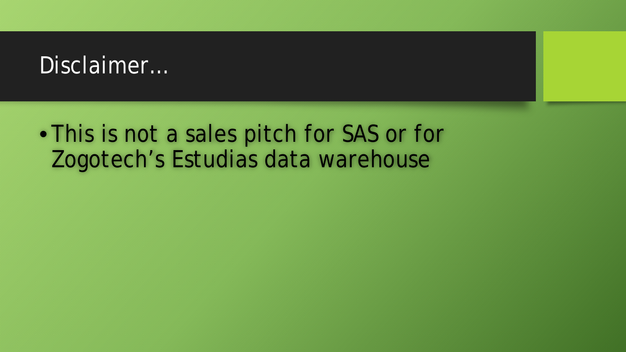## Disclaimer...

## • This is not a sales pitch for SAS or for Zogotech's Estudias data warehouse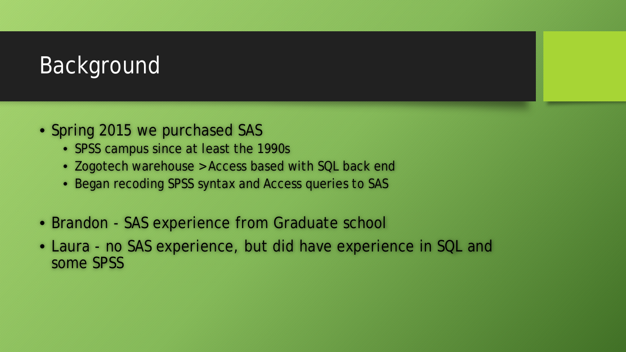## Background

- Spring 2015 we purchased SAS
	- SPSS campus since at least the 1990s
	- Zogotech warehouse > Access based with SQL back end
	- Began recoding SPSS syntax and Access queries to SAS
- Brandon SAS experience from Graduate school
- Laura no SAS experience, but did have experience in SQL and some SPSS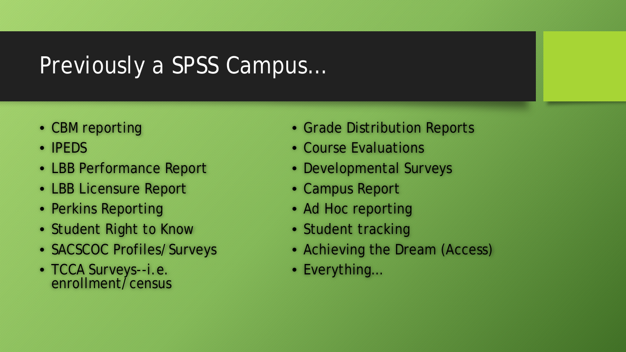## Previously a SPSS Campus…

- CBM reporting
- IPEDS
- LBB Performance Report
- LBB Licensure Report
- Perkins Reporting
- Student Right to Know
- SACSCOC Profiles/Surveys
- TCCA Surveys--i.e. enrollment/census
- Grade Distribution Reports
- Course Evaluations
- Developmental Surveys
- Campus Report
- Ad Hoc reporting
- Student tracking
- Achieving the Dream (Access)
- Everything…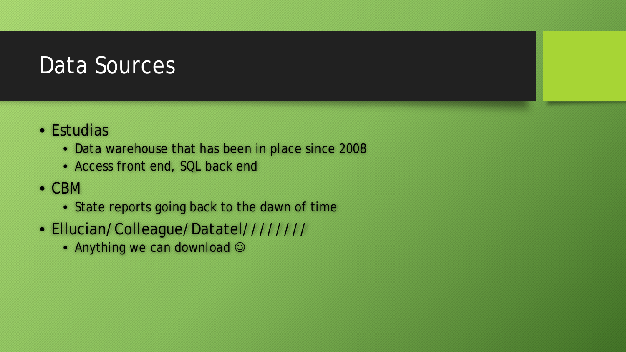## Data Sources

- Estudias
	- Data warehouse that has been in place since 2008
	- Access front end, SQL back end
- CBM
	- State reports going back to the dawn of time
- Ellucian/Colleague/Datatel////////
	- Anything we can download  $\odot$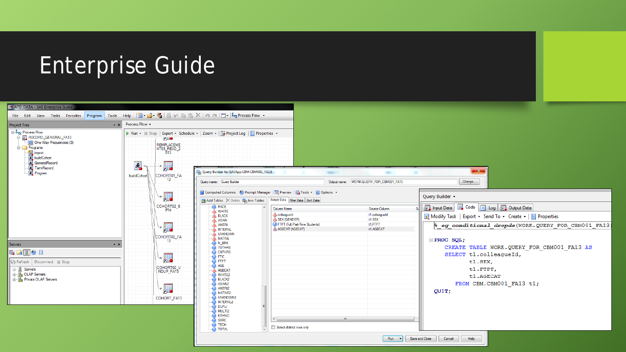## Enterprise Guide

| <b>THE ATD_DATA - SAS Enterprise Guide</b>                                                                                                                                           |                  |                                                                                                                            |                                                                                                                                                                                                                                                                                                                                                                                                                                  |                                                                                                                                            |                                                                    |                                                                                                                                                                                                                                                                                                  |
|--------------------------------------------------------------------------------------------------------------------------------------------------------------------------------------|------------------|----------------------------------------------------------------------------------------------------------------------------|----------------------------------------------------------------------------------------------------------------------------------------------------------------------------------------------------------------------------------------------------------------------------------------------------------------------------------------------------------------------------------------------------------------------------------|--------------------------------------------------------------------------------------------------------------------------------------------|--------------------------------------------------------------------|--------------------------------------------------------------------------------------------------------------------------------------------------------------------------------------------------------------------------------------------------------------------------------------------------|
| File Edit View Tasks Favorites Program Tools Help   <b>白・合・幅</b>   昌 ジ �� �� 《   呵 @     □ •   Beg Process Flow •                                                                    |                  |                                                                                                                            |                                                                                                                                                                                                                                                                                                                                                                                                                                  |                                                                                                                                            |                                                                    |                                                                                                                                                                                                                                                                                                  |
| <b>Project Tree</b><br>$\cdot$ $\times$                                                                                                                                              | Process Flow -   |                                                                                                                            |                                                                                                                                                                                                                                                                                                                                                                                                                                  |                                                                                                                                            |                                                                    |                                                                                                                                                                                                                                                                                                  |
| ⊟ <sup>8</sup> eg Process Flow<br>FA13<br>One-Way Frequencies (3)<br><b>E</b> Programs<br>import<br><b>Will buildCohort</b><br>GeneralRecord<br>TemRecord<br>Program                 | 国<br>buildCohort | <b>PER</b><br><b>REMPLACEME</b><br>NT03_READ_2<br>H.<br>COHORT01_FA<br>* Hio<br>COHORT02_S                                 | ▶ Run • ■ Stop   Export • Schedule •   Zoom •   a Project Log   E Properties •<br>Query Builder for SASApp:CBM.CBM001_FA13<br>Query name: Query Builder<br><b>Executed Columns</b>   ۞ Prompt Manager   ■ Preview   ■ Tools •   ■ Options •<br>Add Tables X Delete   Join Tables   Select Data   Filter Data   Sort Data<br><b>a</b> RACE                                                                                        | Column Name                                                                                                                                | $\sim$<br>Output name: WORK.QUERY_FOR_CBM001_FA13<br>Source Column | $\mathbf{x}$<br>Change<br>Query Builder +<br>图 Input Data ■ Code ■ Log 图 Output Data                                                                                                                                                                                                             |
| Servers<br>$\cdot$ $\times$<br><b>EADOR</b><br>Stop Refresh Disconnect Bustop<br><b>E-</b> <u>I</u> Servers<br><b>E I</b> <sub>n</sub> OLAP Servers<br><b>E</b> Private OLAP Servers |                  | P <sub>14</sub><br>$\downarrow$<br>COHORT02_FA<br>└帰<br>COHORT02_U<br>NDUP_FA13<br>$\overline{\phantom{a}}$<br>COHORT_FA13 | WHITE<br>A BLACK<br>A ASIAN<br>A AMERI<br>A INTERNL<br>A UNKNOWN<br>A NATIVE<br>$\mathbf{D}$ N_BRK<br><b>D</b> TOTHRS<br><b>EXAMPLE</b><br>FTIC<br>$\overline{\bullet}$ FTPT<br>$\overline{a}$ AGE<br>AGECAT<br>$\overline{\mathbf{a}}$ WHITE2<br><b>BLACK2</b><br>ASIAN <sub>2</sub><br>AMERI2<br>NATIVE <sub>2</sub><br>UNKNOWN2<br>INTERNL2<br>d Dupli<br>$\overline{a}$ ) MULTI2<br><b>B</b> ETHNIC<br>SXRC<br>TECH<br>TOTAL | <b>A</b> colleagueld<br>SEX (GENDER)<br>(a) FTPT (Full/Part-Time Students)<br>AGECAT (AGECAT)<br>$\mathbf{m}$<br>Select distinct rows only | t1.colleagueld<br>t1.SEX<br><b>H.FTPT</b><br>t1.AGECAT             | Modify Task   Export - Send To - Create -   E Properties<br><sup>8</sup> eg conditional dropds (WORK.QUERY FOR CBM001 FA13)<br>$\Box$ PROC SQL;<br>CREATE TABLE WORK.QUERY_FOR_CBM001_FA13 AS<br>SELECT t1.colleagueId,<br>t1.SEX,<br>t1.FTPT,<br>t1.AGECAT<br>FROM CBM.CBM001 FA13 t1;<br>QUIT; |
|                                                                                                                                                                                      |                  |                                                                                                                            |                                                                                                                                                                                                                                                                                                                                                                                                                                  |                                                                                                                                            | $Run \rightharpoonup$                                              | Save and Close<br>Cancel<br>Help                                                                                                                                                                                                                                                                 |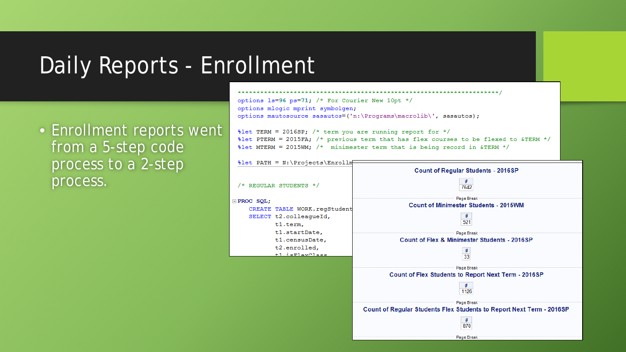## Daily Reports - Enrollment

• Enrollment reports went from a 5-step code process to a 2-step process.

### للحامل بلوجك بلوجك بلوجك بلوجك بلوجك بلوجك بلوجك بلوجك بلوجك بلوجك بلوجك بلوجك بلوجك بلوجك بلوجك بلوجك بلوجك بلوجك بلوجك بلوجك options 1s=96 ps=71; /\* For Courier New 10pt \*/ options mlogic mprint symbolgen; options mautosource sasautos=('n:\Programs\macrolib\', sasautos);

 $\text{Set}$  TERM = 2016SP; /\* term you are running report for \*/ %let PTERM = 2015FA; /\* previous term that has flex courses to be flexed to &TERM \*/  $\text{let MTERM} = 2015 \text{WM};$  /\* minimester term that is being record in &TERM \*/

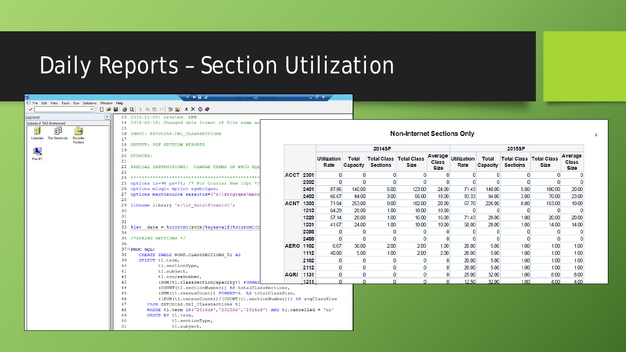## Daily Reports – Section Utilization

| . File Edit View Tools Run Solutions Window Help<br>DFEBAXDO DEXXOO<br>$\vee$<br>$\checkmark$<br>$\sqrt{x}$<br>13 2015-11-03: created. LEW<br><b>Explorer</b><br>14 2016-02-18: Changed date format of file name an<br>Contents of 'SAS Environment'<br>15<br>ËĴ<br>2<br><b>Non-Internet Sections Only</b><br>16<br>INPUT: ESTUDIAS. TBL CLASSSECTIONS<br>Libraries File Shortcuts<br>Favorite<br>17<br><b>Folders</b><br>18<br>OUTPUT: PDF SECTION REPORTS<br>2014SP<br>2015SP<br>Ŋ<br>19<br>Average<br>Average<br>20<br><b>UPDATES:</b><br><b>Total Class   Total Class</b><br><b>Utilization</b><br><b>Total</b><br><b>Total Class   Total Class</b><br><b>Utilization</b><br><b>Total</b><br>This PC<br>21<br><b>Class</b><br><b>Class</b><br><b>Sections</b><br>Capacity<br>Rate<br><b>Capacity</b><br>Rate<br><b>Sections</b><br>Size<br>Size<br>22<br>SPECIAL INSTRUCTIONS: CHANGE TERMS OF PRCO SOL<br>Size<br><b>Size</b><br>23<br><b>ACCT 2301</b><br>$\Omega$<br>0<br>0<br>O<br>n<br>0<br>O.<br>24<br>$\mathbf{0}$<br>$\bf{0}$<br>$\Omega$<br>$\mathbf{0}$<br>$\mathbf{0}$<br>0<br>$\Omega$<br>$\mathbf{0}$<br>2302<br>n<br>options 1s=96 ps=71; /* For Courier New 10pt */<br>25<br>26 options mlogic mprint symbolgen;<br>87.86<br>5.00<br>123.00<br>24.00<br>71.43<br>140.00<br>5.00<br>100.00<br>20.00<br>2401<br>140.00<br>27 options mautosource sasautos=('n:\Programs\macr<br>83.33<br>66.67<br>3.00<br>84.00<br>3.00<br>70.00<br>23.00<br>2402<br>84.00<br>56.00<br>18.00<br>28<br>253.00<br>9.00<br>20.00<br>67.70<br>226.00<br>8.00<br>19.00<br><b>ACNT 1303</b><br>71.94<br>182.00<br>153.00<br>libname library 'n:\ir data\formats\';<br>29<br>64.29<br>28.00<br>1.00<br>$\mathbf{0}$<br>$\mathbf{0}$<br>$\mathbf{0}$<br>0<br>1313<br>18.00<br>18.00<br>0<br>30<br>31<br>57.14<br>28.00<br>71.43<br>28.00<br>20.00<br>1329<br>1.00<br>16.00<br>16.00<br>1.00<br>20.00<br>32<br>1.00<br>1.00<br>50.00<br>28.00<br>1331<br>41.67<br>24.00<br>10.00<br>10.00<br>14.00<br>14.00<br>33 <sub>1</sub><br>%let date = %SYSFUNC(PUTN(%sysevalf(%SYSFUNC(T)<br>$\mathbf{0}$<br>$\mathbf{0}$<br>2388<br>0<br>$\Omega$<br>0<br>0<br>0<br>$\mathbf{0}$<br>0<br>34<br>$\mathbf{0}$<br>$\mathbf{0}$<br>$\mathbf{0}$<br>$\mathbf{0}$<br>$\mathbf{0}$<br>$\mathbf{0}$<br>$\mathbf{0}$<br>/*SPRING SECTIONS */<br>2488<br>$\mathbf{0}$<br>$\Omega$<br>35<br>$\Omega$<br>36<br>1.00<br>6.67<br>2.00<br>1.00<br>5.00<br>1.00<br>1.00<br>30.00<br>2.00<br>20.00<br><b>AERO 1102</b><br>$37 \equiv$ PROC SQL;<br>1.00<br>40.00<br>5.00<br>1.00<br>2.00<br>2.00<br>5.00<br>1.00<br>1.00<br>1112<br>20.00<br>38<br>CREATE TABLE WORK. CLASSSECTIONS 01 AS<br>2102<br>20.00<br>5.00<br>1.00<br>1.00<br>1.00<br>$\bf{0}$<br>$\bf{0}$<br>n<br>$\bf{0}$<br>39<br>SELECT t1.term,<br>$\Omega$<br>40<br>t1.sectionType,<br>$\Omega$<br>$\bf{0}$<br>5.00<br>1.00<br>2112<br>20.00<br>1.00<br>1.00<br>$\mathbf{0}$<br>41<br>t1.subject,<br>$\bf{0}$<br>32.00<br>1.00<br>8.00<br>8.00<br><b>AGRI 1131</b><br>25.00<br>$\mathbf{0}$<br>42<br>t1.courseNumber,<br>$\mathbf{0}$<br>1.00<br>1311<br>$\Omega$<br>12.50<br>32.00<br>4.00<br>4.00<br>O<br>$\Omega$<br>43<br>(SUM(t1.classSectionCapacity)) FORMAT |  |  | - H û d | sas <sup>1</sup> |  |  | $    -$ |  |  |  |  |  |  |  |  |  |  |  |
|---------------------------------------------------------------------------------------------------------------------------------------------------------------------------------------------------------------------------------------------------------------------------------------------------------------------------------------------------------------------------------------------------------------------------------------------------------------------------------------------------------------------------------------------------------------------------------------------------------------------------------------------------------------------------------------------------------------------------------------------------------------------------------------------------------------------------------------------------------------------------------------------------------------------------------------------------------------------------------------------------------------------------------------------------------------------------------------------------------------------------------------------------------------------------------------------------------------------------------------------------------------------------------------------------------------------------------------------------------------------------------------------------------------------------------------------------------------------------------------------------------------------------------------------------------------------------------------------------------------------------------------------------------------------------------------------------------------------------------------------------------------------------------------------------------------------------------------------------------------------------------------------------------------------------------------------------------------------------------------------------------------------------------------------------------------------------------------------------------------------------------------------------------------------------------------------------------------------------------------------------------------------------------------------------------------------------------------------------------------------------------------------------------------------------------------------------------------------------------------------------------------------------------------------------------------------------------------------------------------------------------------------------------------------------------------------------------------------------------------------------------------------------------------------------------------------------------------------------------------------------------------------------------------------------------------------------------------------------------------------------------------------------------------------------------------------------------------------------------------------------------------------------------------------------------------------------|--|--|---------|------------------|--|--|---------|--|--|--|--|--|--|--|--|--|--|--|
|                                                                                                                                                                                                                                                                                                                                                                                                                                                                                                                                                                                                                                                                                                                                                                                                                                                                                                                                                                                                                                                                                                                                                                                                                                                                                                                                                                                                                                                                                                                                                                                                                                                                                                                                                                                                                                                                                                                                                                                                                                                                                                                                                                                                                                                                                                                                                                                                                                                                                                                                                                                                                                                                                                                                                                                                                                                                                                                                                                                                                                                                                                                                                                                                   |  |  |         |                  |  |  |         |  |  |  |  |  |  |  |  |  |  |  |
|                                                                                                                                                                                                                                                                                                                                                                                                                                                                                                                                                                                                                                                                                                                                                                                                                                                                                                                                                                                                                                                                                                                                                                                                                                                                                                                                                                                                                                                                                                                                                                                                                                                                                                                                                                                                                                                                                                                                                                                                                                                                                                                                                                                                                                                                                                                                                                                                                                                                                                                                                                                                                                                                                                                                                                                                                                                                                                                                                                                                                                                                                                                                                                                                   |  |  |         |                  |  |  |         |  |  |  |  |  |  |  |  |  |  |  |
|                                                                                                                                                                                                                                                                                                                                                                                                                                                                                                                                                                                                                                                                                                                                                                                                                                                                                                                                                                                                                                                                                                                                                                                                                                                                                                                                                                                                                                                                                                                                                                                                                                                                                                                                                                                                                                                                                                                                                                                                                                                                                                                                                                                                                                                                                                                                                                                                                                                                                                                                                                                                                                                                                                                                                                                                                                                                                                                                                                                                                                                                                                                                                                                                   |  |  |         |                  |  |  |         |  |  |  |  |  |  |  |  |  |  |  |
|                                                                                                                                                                                                                                                                                                                                                                                                                                                                                                                                                                                                                                                                                                                                                                                                                                                                                                                                                                                                                                                                                                                                                                                                                                                                                                                                                                                                                                                                                                                                                                                                                                                                                                                                                                                                                                                                                                                                                                                                                                                                                                                                                                                                                                                                                                                                                                                                                                                                                                                                                                                                                                                                                                                                                                                                                                                                                                                                                                                                                                                                                                                                                                                                   |  |  |         |                  |  |  |         |  |  |  |  |  |  |  |  |  |  |  |
|                                                                                                                                                                                                                                                                                                                                                                                                                                                                                                                                                                                                                                                                                                                                                                                                                                                                                                                                                                                                                                                                                                                                                                                                                                                                                                                                                                                                                                                                                                                                                                                                                                                                                                                                                                                                                                                                                                                                                                                                                                                                                                                                                                                                                                                                                                                                                                                                                                                                                                                                                                                                                                                                                                                                                                                                                                                                                                                                                                                                                                                                                                                                                                                                   |  |  |         |                  |  |  |         |  |  |  |  |  |  |  |  |  |  |  |
|                                                                                                                                                                                                                                                                                                                                                                                                                                                                                                                                                                                                                                                                                                                                                                                                                                                                                                                                                                                                                                                                                                                                                                                                                                                                                                                                                                                                                                                                                                                                                                                                                                                                                                                                                                                                                                                                                                                                                                                                                                                                                                                                                                                                                                                                                                                                                                                                                                                                                                                                                                                                                                                                                                                                                                                                                                                                                                                                                                                                                                                                                                                                                                                                   |  |  |         |                  |  |  |         |  |  |  |  |  |  |  |  |  |  |  |
|                                                                                                                                                                                                                                                                                                                                                                                                                                                                                                                                                                                                                                                                                                                                                                                                                                                                                                                                                                                                                                                                                                                                                                                                                                                                                                                                                                                                                                                                                                                                                                                                                                                                                                                                                                                                                                                                                                                                                                                                                                                                                                                                                                                                                                                                                                                                                                                                                                                                                                                                                                                                                                                                                                                                                                                                                                                                                                                                                                                                                                                                                                                                                                                                   |  |  |         |                  |  |  |         |  |  |  |  |  |  |  |  |  |  |  |
|                                                                                                                                                                                                                                                                                                                                                                                                                                                                                                                                                                                                                                                                                                                                                                                                                                                                                                                                                                                                                                                                                                                                                                                                                                                                                                                                                                                                                                                                                                                                                                                                                                                                                                                                                                                                                                                                                                                                                                                                                                                                                                                                                                                                                                                                                                                                                                                                                                                                                                                                                                                                                                                                                                                                                                                                                                                                                                                                                                                                                                                                                                                                                                                                   |  |  |         |                  |  |  |         |  |  |  |  |  |  |  |  |  |  |  |
|                                                                                                                                                                                                                                                                                                                                                                                                                                                                                                                                                                                                                                                                                                                                                                                                                                                                                                                                                                                                                                                                                                                                                                                                                                                                                                                                                                                                                                                                                                                                                                                                                                                                                                                                                                                                                                                                                                                                                                                                                                                                                                                                                                                                                                                                                                                                                                                                                                                                                                                                                                                                                                                                                                                                                                                                                                                                                                                                                                                                                                                                                                                                                                                                   |  |  |         |                  |  |  |         |  |  |  |  |  |  |  |  |  |  |  |
|                                                                                                                                                                                                                                                                                                                                                                                                                                                                                                                                                                                                                                                                                                                                                                                                                                                                                                                                                                                                                                                                                                                                                                                                                                                                                                                                                                                                                                                                                                                                                                                                                                                                                                                                                                                                                                                                                                                                                                                                                                                                                                                                                                                                                                                                                                                                                                                                                                                                                                                                                                                                                                                                                                                                                                                                                                                                                                                                                                                                                                                                                                                                                                                                   |  |  |         |                  |  |  |         |  |  |  |  |  |  |  |  |  |  |  |
|                                                                                                                                                                                                                                                                                                                                                                                                                                                                                                                                                                                                                                                                                                                                                                                                                                                                                                                                                                                                                                                                                                                                                                                                                                                                                                                                                                                                                                                                                                                                                                                                                                                                                                                                                                                                                                                                                                                                                                                                                                                                                                                                                                                                                                                                                                                                                                                                                                                                                                                                                                                                                                                                                                                                                                                                                                                                                                                                                                                                                                                                                                                                                                                                   |  |  |         |                  |  |  |         |  |  |  |  |  |  |  |  |  |  |  |
|                                                                                                                                                                                                                                                                                                                                                                                                                                                                                                                                                                                                                                                                                                                                                                                                                                                                                                                                                                                                                                                                                                                                                                                                                                                                                                                                                                                                                                                                                                                                                                                                                                                                                                                                                                                                                                                                                                                                                                                                                                                                                                                                                                                                                                                                                                                                                                                                                                                                                                                                                                                                                                                                                                                                                                                                                                                                                                                                                                                                                                                                                                                                                                                                   |  |  |         |                  |  |  |         |  |  |  |  |  |  |  |  |  |  |  |
|                                                                                                                                                                                                                                                                                                                                                                                                                                                                                                                                                                                                                                                                                                                                                                                                                                                                                                                                                                                                                                                                                                                                                                                                                                                                                                                                                                                                                                                                                                                                                                                                                                                                                                                                                                                                                                                                                                                                                                                                                                                                                                                                                                                                                                                                                                                                                                                                                                                                                                                                                                                                                                                                                                                                                                                                                                                                                                                                                                                                                                                                                                                                                                                                   |  |  |         |                  |  |  |         |  |  |  |  |  |  |  |  |  |  |  |
|                                                                                                                                                                                                                                                                                                                                                                                                                                                                                                                                                                                                                                                                                                                                                                                                                                                                                                                                                                                                                                                                                                                                                                                                                                                                                                                                                                                                                                                                                                                                                                                                                                                                                                                                                                                                                                                                                                                                                                                                                                                                                                                                                                                                                                                                                                                                                                                                                                                                                                                                                                                                                                                                                                                                                                                                                                                                                                                                                                                                                                                                                                                                                                                                   |  |  |         |                  |  |  |         |  |  |  |  |  |  |  |  |  |  |  |
|                                                                                                                                                                                                                                                                                                                                                                                                                                                                                                                                                                                                                                                                                                                                                                                                                                                                                                                                                                                                                                                                                                                                                                                                                                                                                                                                                                                                                                                                                                                                                                                                                                                                                                                                                                                                                                                                                                                                                                                                                                                                                                                                                                                                                                                                                                                                                                                                                                                                                                                                                                                                                                                                                                                                                                                                                                                                                                                                                                                                                                                                                                                                                                                                   |  |  |         |                  |  |  |         |  |  |  |  |  |  |  |  |  |  |  |
|                                                                                                                                                                                                                                                                                                                                                                                                                                                                                                                                                                                                                                                                                                                                                                                                                                                                                                                                                                                                                                                                                                                                                                                                                                                                                                                                                                                                                                                                                                                                                                                                                                                                                                                                                                                                                                                                                                                                                                                                                                                                                                                                                                                                                                                                                                                                                                                                                                                                                                                                                                                                                                                                                                                                                                                                                                                                                                                                                                                                                                                                                                                                                                                                   |  |  |         |                  |  |  |         |  |  |  |  |  |  |  |  |  |  |  |
|                                                                                                                                                                                                                                                                                                                                                                                                                                                                                                                                                                                                                                                                                                                                                                                                                                                                                                                                                                                                                                                                                                                                                                                                                                                                                                                                                                                                                                                                                                                                                                                                                                                                                                                                                                                                                                                                                                                                                                                                                                                                                                                                                                                                                                                                                                                                                                                                                                                                                                                                                                                                                                                                                                                                                                                                                                                                                                                                                                                                                                                                                                                                                                                                   |  |  |         |                  |  |  |         |  |  |  |  |  |  |  |  |  |  |  |
|                                                                                                                                                                                                                                                                                                                                                                                                                                                                                                                                                                                                                                                                                                                                                                                                                                                                                                                                                                                                                                                                                                                                                                                                                                                                                                                                                                                                                                                                                                                                                                                                                                                                                                                                                                                                                                                                                                                                                                                                                                                                                                                                                                                                                                                                                                                                                                                                                                                                                                                                                                                                                                                                                                                                                                                                                                                                                                                                                                                                                                                                                                                                                                                                   |  |  |         |                  |  |  |         |  |  |  |  |  |  |  |  |  |  |  |
|                                                                                                                                                                                                                                                                                                                                                                                                                                                                                                                                                                                                                                                                                                                                                                                                                                                                                                                                                                                                                                                                                                                                                                                                                                                                                                                                                                                                                                                                                                                                                                                                                                                                                                                                                                                                                                                                                                                                                                                                                                                                                                                                                                                                                                                                                                                                                                                                                                                                                                                                                                                                                                                                                                                                                                                                                                                                                                                                                                                                                                                                                                                                                                                                   |  |  |         |                  |  |  |         |  |  |  |  |  |  |  |  |  |  |  |
|                                                                                                                                                                                                                                                                                                                                                                                                                                                                                                                                                                                                                                                                                                                                                                                                                                                                                                                                                                                                                                                                                                                                                                                                                                                                                                                                                                                                                                                                                                                                                                                                                                                                                                                                                                                                                                                                                                                                                                                                                                                                                                                                                                                                                                                                                                                                                                                                                                                                                                                                                                                                                                                                                                                                                                                                                                                                                                                                                                                                                                                                                                                                                                                                   |  |  |         |                  |  |  |         |  |  |  |  |  |  |  |  |  |  |  |
|                                                                                                                                                                                                                                                                                                                                                                                                                                                                                                                                                                                                                                                                                                                                                                                                                                                                                                                                                                                                                                                                                                                                                                                                                                                                                                                                                                                                                                                                                                                                                                                                                                                                                                                                                                                                                                                                                                                                                                                                                                                                                                                                                                                                                                                                                                                                                                                                                                                                                                                                                                                                                                                                                                                                                                                                                                                                                                                                                                                                                                                                                                                                                                                                   |  |  |         |                  |  |  |         |  |  |  |  |  |  |  |  |  |  |  |
|                                                                                                                                                                                                                                                                                                                                                                                                                                                                                                                                                                                                                                                                                                                                                                                                                                                                                                                                                                                                                                                                                                                                                                                                                                                                                                                                                                                                                                                                                                                                                                                                                                                                                                                                                                                                                                                                                                                                                                                                                                                                                                                                                                                                                                                                                                                                                                                                                                                                                                                                                                                                                                                                                                                                                                                                                                                                                                                                                                                                                                                                                                                                                                                                   |  |  |         |                  |  |  |         |  |  |  |  |  |  |  |  |  |  |  |
|                                                                                                                                                                                                                                                                                                                                                                                                                                                                                                                                                                                                                                                                                                                                                                                                                                                                                                                                                                                                                                                                                                                                                                                                                                                                                                                                                                                                                                                                                                                                                                                                                                                                                                                                                                                                                                                                                                                                                                                                                                                                                                                                                                                                                                                                                                                                                                                                                                                                                                                                                                                                                                                                                                                                                                                                                                                                                                                                                                                                                                                                                                                                                                                                   |  |  |         |                  |  |  |         |  |  |  |  |  |  |  |  |  |  |  |
|                                                                                                                                                                                                                                                                                                                                                                                                                                                                                                                                                                                                                                                                                                                                                                                                                                                                                                                                                                                                                                                                                                                                                                                                                                                                                                                                                                                                                                                                                                                                                                                                                                                                                                                                                                                                                                                                                                                                                                                                                                                                                                                                                                                                                                                                                                                                                                                                                                                                                                                                                                                                                                                                                                                                                                                                                                                                                                                                                                                                                                                                                                                                                                                                   |  |  |         |                  |  |  |         |  |  |  |  |  |  |  |  |  |  |  |
|                                                                                                                                                                                                                                                                                                                                                                                                                                                                                                                                                                                                                                                                                                                                                                                                                                                                                                                                                                                                                                                                                                                                                                                                                                                                                                                                                                                                                                                                                                                                                                                                                                                                                                                                                                                                                                                                                                                                                                                                                                                                                                                                                                                                                                                                                                                                                                                                                                                                                                                                                                                                                                                                                                                                                                                                                                                                                                                                                                                                                                                                                                                                                                                                   |  |  |         |                  |  |  |         |  |  |  |  |  |  |  |  |  |  |  |
|                                                                                                                                                                                                                                                                                                                                                                                                                                                                                                                                                                                                                                                                                                                                                                                                                                                                                                                                                                                                                                                                                                                                                                                                                                                                                                                                                                                                                                                                                                                                                                                                                                                                                                                                                                                                                                                                                                                                                                                                                                                                                                                                                                                                                                                                                                                                                                                                                                                                                                                                                                                                                                                                                                                                                                                                                                                                                                                                                                                                                                                                                                                                                                                                   |  |  |         |                  |  |  |         |  |  |  |  |  |  |  |  |  |  |  |
|                                                                                                                                                                                                                                                                                                                                                                                                                                                                                                                                                                                                                                                                                                                                                                                                                                                                                                                                                                                                                                                                                                                                                                                                                                                                                                                                                                                                                                                                                                                                                                                                                                                                                                                                                                                                                                                                                                                                                                                                                                                                                                                                                                                                                                                                                                                                                                                                                                                                                                                                                                                                                                                                                                                                                                                                                                                                                                                                                                                                                                                                                                                                                                                                   |  |  |         |                  |  |  |         |  |  |  |  |  |  |  |  |  |  |  |
|                                                                                                                                                                                                                                                                                                                                                                                                                                                                                                                                                                                                                                                                                                                                                                                                                                                                                                                                                                                                                                                                                                                                                                                                                                                                                                                                                                                                                                                                                                                                                                                                                                                                                                                                                                                                                                                                                                                                                                                                                                                                                                                                                                                                                                                                                                                                                                                                                                                                                                                                                                                                                                                                                                                                                                                                                                                                                                                                                                                                                                                                                                                                                                                                   |  |  |         |                  |  |  |         |  |  |  |  |  |  |  |  |  |  |  |
|                                                                                                                                                                                                                                                                                                                                                                                                                                                                                                                                                                                                                                                                                                                                                                                                                                                                                                                                                                                                                                                                                                                                                                                                                                                                                                                                                                                                                                                                                                                                                                                                                                                                                                                                                                                                                                                                                                                                                                                                                                                                                                                                                                                                                                                                                                                                                                                                                                                                                                                                                                                                                                                                                                                                                                                                                                                                                                                                                                                                                                                                                                                                                                                                   |  |  |         |                  |  |  |         |  |  |  |  |  |  |  |  |  |  |  |
|                                                                                                                                                                                                                                                                                                                                                                                                                                                                                                                                                                                                                                                                                                                                                                                                                                                                                                                                                                                                                                                                                                                                                                                                                                                                                                                                                                                                                                                                                                                                                                                                                                                                                                                                                                                                                                                                                                                                                                                                                                                                                                                                                                                                                                                                                                                                                                                                                                                                                                                                                                                                                                                                                                                                                                                                                                                                                                                                                                                                                                                                                                                                                                                                   |  |  |         |                  |  |  |         |  |  |  |  |  |  |  |  |  |  |  |
| (COUNT (t1. sectionNumber)) AS totalClassSections,                                                                                                                                                                                                                                                                                                                                                                                                                                                                                                                                                                                                                                                                                                                                                                                                                                                                                                                                                                                                                                                                                                                                                                                                                                                                                                                                                                                                                                                                                                                                                                                                                                                                                                                                                                                                                                                                                                                                                                                                                                                                                                                                                                                                                                                                                                                                                                                                                                                                                                                                                                                                                                                                                                                                                                                                                                                                                                                                                                                                                                                                                                                                                |  |  | 44      |                  |  |  |         |  |  |  |  |  |  |  |  |  |  |  |
| 45<br>(SUM(t1.censusCount)) FORMAT=6. AS totalClassSize,                                                                                                                                                                                                                                                                                                                                                                                                                                                                                                                                                                                                                                                                                                                                                                                                                                                                                                                                                                                                                                                                                                                                                                                                                                                                                                                                                                                                                                                                                                                                                                                                                                                                                                                                                                                                                                                                                                                                                                                                                                                                                                                                                                                                                                                                                                                                                                                                                                                                                                                                                                                                                                                                                                                                                                                                                                                                                                                                                                                                                                                                                                                                          |  |  |         |                  |  |  |         |  |  |  |  |  |  |  |  |  |  |  |
| 46<br>((SUM(t1.censusCount))/(COUNT(t1.sectionNumber))) AS avgClassSize<br>47<br>FROM ESTUDIAS.tbl ClassSections t1                                                                                                                                                                                                                                                                                                                                                                                                                                                                                                                                                                                                                                                                                                                                                                                                                                                                                                                                                                                                                                                                                                                                                                                                                                                                                                                                                                                                                                                                                                                                                                                                                                                                                                                                                                                                                                                                                                                                                                                                                                                                                                                                                                                                                                                                                                                                                                                                                                                                                                                                                                                                                                                                                                                                                                                                                                                                                                                                                                                                                                                                               |  |  |         |                  |  |  |         |  |  |  |  |  |  |  |  |  |  |  |
| 48<br>WHERE tl.term IN('2016SP','2015SP','2014SP') AND tl.cancelled = 'no'                                                                                                                                                                                                                                                                                                                                                                                                                                                                                                                                                                                                                                                                                                                                                                                                                                                                                                                                                                                                                                                                                                                                                                                                                                                                                                                                                                                                                                                                                                                                                                                                                                                                                                                                                                                                                                                                                                                                                                                                                                                                                                                                                                                                                                                                                                                                                                                                                                                                                                                                                                                                                                                                                                                                                                                                                                                                                                                                                                                                                                                                                                                        |  |  |         |                  |  |  |         |  |  |  |  |  |  |  |  |  |  |  |
| 49<br>GROUP BY t1.term,                                                                                                                                                                                                                                                                                                                                                                                                                                                                                                                                                                                                                                                                                                                                                                                                                                                                                                                                                                                                                                                                                                                                                                                                                                                                                                                                                                                                                                                                                                                                                                                                                                                                                                                                                                                                                                                                                                                                                                                                                                                                                                                                                                                                                                                                                                                                                                                                                                                                                                                                                                                                                                                                                                                                                                                                                                                                                                                                                                                                                                                                                                                                                                           |  |  |         |                  |  |  |         |  |  |  |  |  |  |  |  |  |  |  |
| 50<br>t1.sectionType,                                                                                                                                                                                                                                                                                                                                                                                                                                                                                                                                                                                                                                                                                                                                                                                                                                                                                                                                                                                                                                                                                                                                                                                                                                                                                                                                                                                                                                                                                                                                                                                                                                                                                                                                                                                                                                                                                                                                                                                                                                                                                                                                                                                                                                                                                                                                                                                                                                                                                                                                                                                                                                                                                                                                                                                                                                                                                                                                                                                                                                                                                                                                                                             |  |  |         |                  |  |  |         |  |  |  |  |  |  |  |  |  |  |  |
| 51<br>t1.subject,                                                                                                                                                                                                                                                                                                                                                                                                                                                                                                                                                                                                                                                                                                                                                                                                                                                                                                                                                                                                                                                                                                                                                                                                                                                                                                                                                                                                                                                                                                                                                                                                                                                                                                                                                                                                                                                                                                                                                                                                                                                                                                                                                                                                                                                                                                                                                                                                                                                                                                                                                                                                                                                                                                                                                                                                                                                                                                                                                                                                                                                                                                                                                                                 |  |  |         |                  |  |  |         |  |  |  |  |  |  |  |  |  |  |  |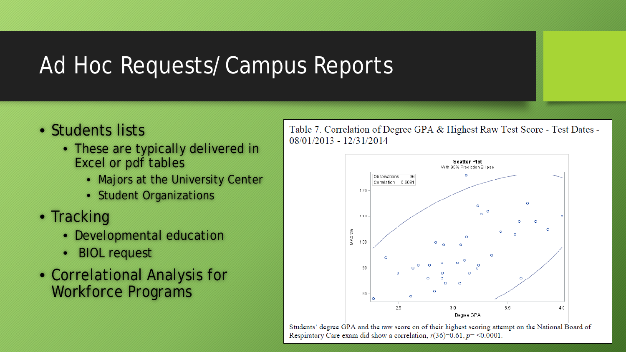## Ad Hoc Requests/Campus Reports

- Students lists
	- These are typically delivered in Excel or pdf tables
		- Majors at the University Center
		- Student Organizations
- Tracking
	- Developmental education
	- BIOL request
- Correlational Analysis for Workforce Programs

Table 7. Correlation of Degree GPA & Highest Raw Test Score - Test Dates - $08/01/2013 - 12/31/2014$ 



Students' degree GPA and the raw score on of their highest scoring attempt on the National Board of Respiratory Care exam did show a correlation,  $r(36)=0.61$ ,  $p = 0.0001$ .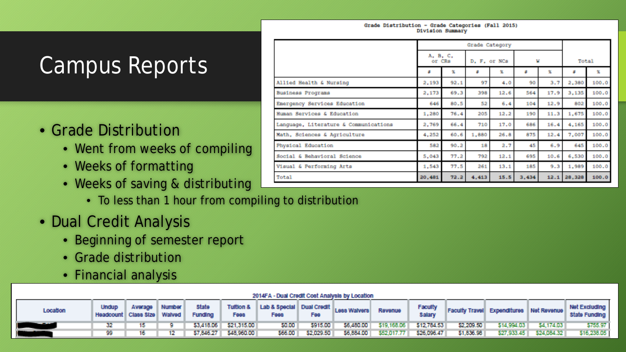#### Grade Distribution - Grade Categories (Fall 2015) Division Summary

## Campus Reports

### • Grade Distribution

- Went from weeks of compiling
- Weeks of formatting
- Weeks of saving & distributing
	- To less than 1 hour from compiling to distribution
- Dual Credit Analysis
	- Beginning of semester report
	- Grade distribution
	- Financial analysis

| Location | <b>Undup</b><br>Headcount Class Size Walved | Average | <b>Number</b> | State<br><b>Funding</b> | <b>Fees</b>            | Tuttion & Lab & Special Dual Credit Less Walvers Production<br>Fees: | Fee              | Revenue                            | Faculty     |                   |            |                     | Faculty Travel Expenditures Net Revenue state Funding |
|----------|---------------------------------------------|---------|---------------|-------------------------|------------------------|----------------------------------------------------------------------|------------------|------------------------------------|-------------|-------------------|------------|---------------------|-------------------------------------------------------|
|          |                                             |         |               |                         | \$3,418.06 \$21.315.00 | <b>SO.00 I</b>                                                       | <b>S915.00 L</b> | \$6,480.00 \$19,168.06 \$12,784.53 |             | <b>\$2,209.50</b> | 514,994.03 | <b>54.174.03 L</b>  | \$755.97                                              |
|          | 99.                                         |         |               |                         | \$7,846.27 \$48,960.00 | <b>566.00 L</b>                                                      | \$2,029.50       | \$6,884.00 \$52,017.77             | \$26,096,47 | \$1,835.98        | 527.933.45 | <b>S24,084,32 L</b> | \$16,238,051                                          |

|                                       |        | Grade Category     |       |              |       |      |        |       |  |  |
|---------------------------------------|--------|--------------------|-------|--------------|-------|------|--------|-------|--|--|
|                                       |        | A, B, C,<br>or CRs |       | D. F. or NCs | v     |      | Total  |       |  |  |
|                                       | ×      | 怎                  | z     | x.           | z     | x    | z      | x     |  |  |
| Allied Health & Nursing               | 2,193  | 92.1               | 97    | 4.0          | 90    | 3.7  | 2,380  | 100.0 |  |  |
| Business Programs                     | 2,173  | 69.3               | 398   | 12.6         | 564   | 17.9 | 3,135  | 100.0 |  |  |
| Emergency Services Education          | 646    | 80.5               | 52    | 6.4          | 104   | 12.9 | 802    | 100.0 |  |  |
| Human Services & Education            | 1,280  | 76.4               | 205   | 12.2         | 190   | 11.3 | 1,675  | 100.0 |  |  |
| Language, Literature & Communications | 2,769  | 66.4               | 710   | 17.0         | 686   | 16.4 | 4,165  | 100.0 |  |  |
| Math, Sciences & Agriculture          | 4,252  | 60.6               | 1,880 | 26.8         | 875   | 12.4 | 7,007  | 100.0 |  |  |
| Physical Education                    | 582    | 90.2               | 18    | 2.7          | 45    | 6.9  | 645    | 100.0 |  |  |
| Social & Behavioral Science           | 5,043  | 77.2               | 792   | 12.1         | 695   | 10.6 | 6,530  | 100.0 |  |  |
| Visual & Performing Arts              | 1,543  | 77.5               | 261   | 13.1         | 185   | 9.3  | 1,989  | 100.0 |  |  |
| Total                                 | 20,481 | 72.2               | 4,413 | 15.5         | 3,434 | 12.1 | 28,328 | 100.0 |  |  |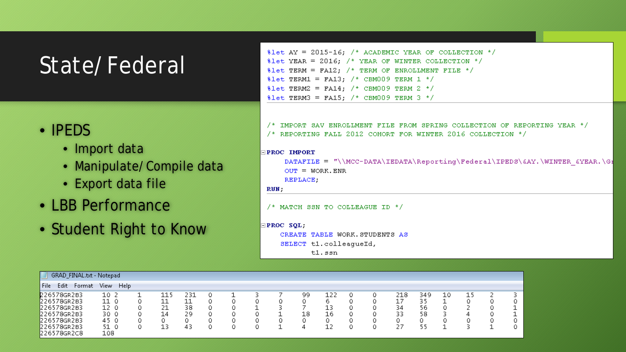## State/Federal

### • IPEDS

- Import data
- Manipulate/Compile data
- Export data file
- LBB Performance
- Student Right to Know

 $\texttt{Set}$  AY = 2015-16; /\* ACADEMIC YEAR OF COLLECTION \*/  $\texttt{Set}$  YEAR = 2016; /\* YEAR OF WINTER COLLECTION \*/  $\texttt{Set}$  TERM = FA12; /\* TERM OF ENROLLMENT FILE \*/ \$1et TERM1 = FA13; /\* CBM009 TERM 1 \*/ 81et TERM2 = FA14; /\* CBM009 TERM 2 \*/ 81et TERM3 = FA15;  $/*$  CBM009 TERM 3 \*/

 $\gamma$ \* IMPORT SAV ENROLLMENT FILE FROM SPRING COLLECTION OF REPORTING YEAR \*/ /\* REPORTING FALL 2012 COHORT FOR WINTER 2016 COLLECTION \*/

### **PROC IMPORT**

DATAFILE = "\\MCC-DATA\IEDATA\Reporting\Federal\IPEDS\&AY.\WINTER &YEAR.\GI  $OUT = WORK.$  ENR REPLACE.

### RUN;

 $/$ \* MATCH SSN TO COLLEAGUE ID \*/

### $EPC$   $SQL;$

CREATE TABLE WORK. STUDENTS AS

```
SELECT tl.colleagueId,
```
 $t1$ . ssn

|              | GRAD_FINAL.txt - Notepad |      |             |             |     |  |  |    |    |  |     |     |    |    |  |
|--------------|--------------------------|------|-------------|-------------|-----|--|--|----|----|--|-----|-----|----|----|--|
| File<br>Edit | Format                   | View | <b>Help</b> |             |     |  |  |    |    |  |     |     |    |    |  |
| 226578GR2B3  |                          | 10 2 |             | 115         | 231 |  |  | 99 | ᆂᆇ |  | 218 | 349 | 10 | 15 |  |
| 226578GR2B3  |                          | 11 0 |             | -1 -1<br>ᅩᅩ |     |  |  |    | 6  |  | 17  |     |    |    |  |
| 226578GR2B3  |                          | 12 0 |             | ר ה         | 38  |  |  |    |    |  | 34  | 56  |    |    |  |
| 226578GR2B3  |                          | 30 O |             | 14          | 29  |  |  | 18 | 16 |  | 33  | 58  |    | ↵  |  |
| 226578GR2B3  |                          | 45 0 |             |             |     |  |  |    | 0  |  |     |     | s. |    |  |
| 226578GR2B3  |                          | 51 O |             | 13          | 43  |  |  |    | ⊥∠ |  | 27  |     |    |    |  |
| 226578GR2C8  |                          | 108  |             |             |     |  |  |    |    |  |     |     |    |    |  |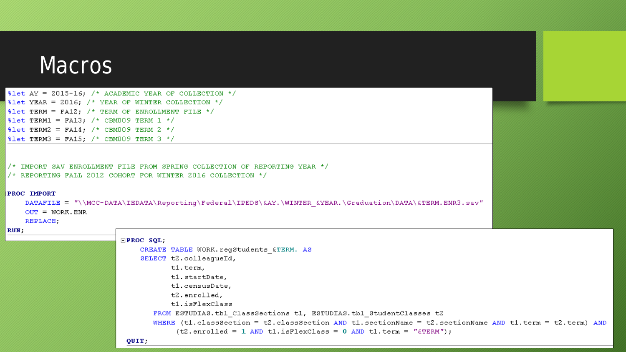### **Macros**

 $\texttt{Set}$  AY = 2015-16; /\* ACADEMIC YEAR OF COLLECTION \*/  $\texttt{Set}$  YEAR = 2016; /\* YEAR OF WINTER COLLECTION \*/  $\texttt{#let TERM} = \texttt{FA12};$  /\* TERM OF ENROLLMENT FILE \*/  $\text{Set } \text{TERM1} = \text{FA13};$  /\* CBM009 TERM 1 \*/  $\text{Set}$  TERM2 = FA14; /\* CBM009 TERM 2 \*/  $\text{Set}$  TERM3 = FA15; /\* CBM009 TERM 3 \*/

/\* IMPORT SAV ENROLLMENT FILE FROM SPRING COLLECTION OF REPORTING YEAR \*/

/\* REPORTING FALL 2012 COHORT FOR WINTER 2016 COLLECTION \*/

### **PROC IMPORT**

```
DATAFILE = "\\MCC-DATA\IEDATA\Reporting\Federal\IPEDS\&AY.\WINTER &YEAR.\Graduation\DATA\&TERM.ENR3.sav"
OUT = WORK.ENR
```
**REPLACE** 

#### RUN;

```
EPROC SQL;
    CREATE TABLE WORK. regStudents &TERM. AS
    SELECT t2.colleaqueId,
           tl.term,
           tl.startDate,
           tl.censusDate,
           t2.enrolled,
           tl.isFlexClass
       FROM ESTUDIAS. tbl ClassSections t1, ESTUDIAS. tbl StudentClasses t2
       WHERE (t1.classSection = t2.classSection AND t1.sectionName = t2.sectionName AND t1.term = t2.term) AND
            (t2. enrolled = 1 AND t1.isFlexClass = 0 AND t1. term = "ATERM");QUIT:
```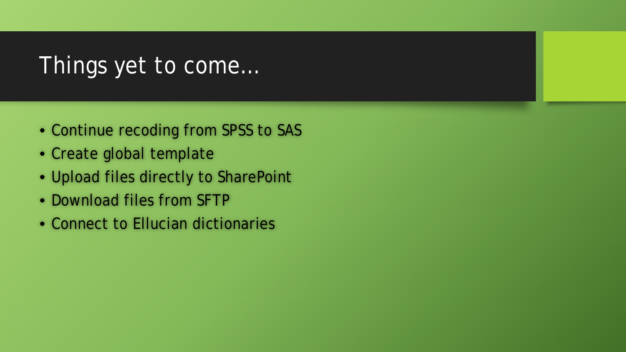## Things yet to come…

- Continue recoding from SPSS to SAS
- Create global template
- Upload files directly to SharePoint
- Download files from SFTP
- Connect to Ellucian dictionaries